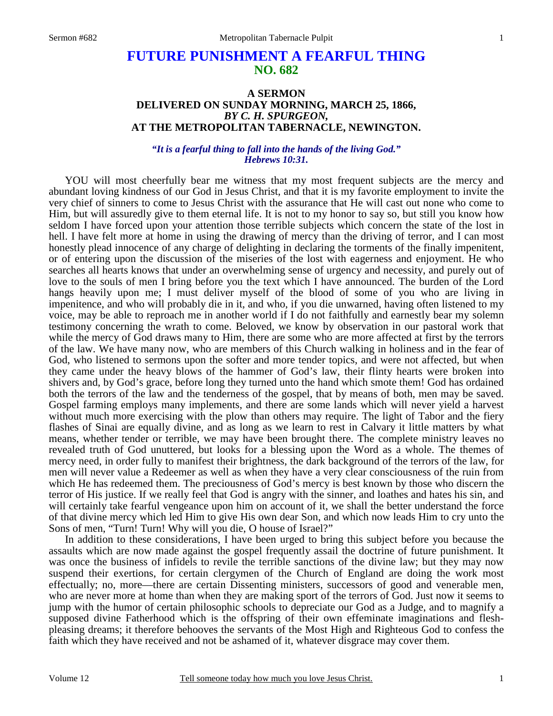# **FUTURE PUNISHMENT A FEARFUL THING NO. 682**

### **A SERMON DELIVERED ON SUNDAY MORNING, MARCH 25, 1866,**  *BY C. H. SPURGEON,*  **AT THE METROPOLITAN TABERNACLE, NEWINGTON.**

#### *"It is a fearful thing to fall into the hands of the living God." Hebrews 10:31.*

 YOU will most cheerfully bear me witness that my most frequent subjects are the mercy and abundant loving kindness of our God in Jesus Christ, and that it is my favorite employment to invite the very chief of sinners to come to Jesus Christ with the assurance that He will cast out none who come to Him, but will assuredly give to them eternal life. It is not to my honor to say so, but still you know how seldom I have forced upon your attention those terrible subjects which concern the state of the lost in hell. I have felt more at home in using the drawing of mercy than the driving of terror, and I can most honestly plead innocence of any charge of delighting in declaring the torments of the finally impenitent, or of entering upon the discussion of the miseries of the lost with eagerness and enjoyment. He who searches all hearts knows that under an overwhelming sense of urgency and necessity, and purely out of love to the souls of men I bring before you the text which I have announced. The burden of the Lord hangs heavily upon me; I must deliver myself of the blood of some of you who are living in impenitence, and who will probably die in it, and who, if you die unwarned, having often listened to my voice, may be able to reproach me in another world if I do not faithfully and earnestly bear my solemn testimony concerning the wrath to come. Beloved, we know by observation in our pastoral work that while the mercy of God draws many to Him, there are some who are more affected at first by the terrors of the law. We have many now, who are members of this Church walking in holiness and in the fear of God, who listened to sermons upon the softer and more tender topics, and were not affected, but when they came under the heavy blows of the hammer of God's law, their flinty hearts were broken into shivers and, by God's grace, before long they turned unto the hand which smote them! God has ordained both the terrors of the law and the tenderness of the gospel, that by means of both, men may be saved. Gospel farming employs many implements, and there are some lands which will never yield a harvest without much more exercising with the plow than others may require. The light of Tabor and the fiery flashes of Sinai are equally divine, and as long as we learn to rest in Calvary it little matters by what means, whether tender or terrible, we may have been brought there. The complete ministry leaves no revealed truth of God unuttered, but looks for a blessing upon the Word as a whole. The themes of mercy need, in order fully to manifest their brightness, the dark background of the terrors of the law, for men will never value a Redeemer as well as when they have a very clear consciousness of the ruin from which He has redeemed them. The preciousness of God's mercy is best known by those who discern the terror of His justice. If we really feel that God is angry with the sinner, and loathes and hates his sin, and will certainly take fearful vengeance upon him on account of it, we shall the better understand the force of that divine mercy which led Him to give His own dear Son, and which now leads Him to cry unto the Sons of men, "Turn! Turn! Why will you die, O house of Israel?"

 In addition to these considerations, I have been urged to bring this subject before you because the assaults which are now made against the gospel frequently assail the doctrine of future punishment. It was once the business of infidels to revile the terrible sanctions of the divine law; but they may now suspend their exertions, for certain clergymen of the Church of England are doing the work most effectually; no, more—there are certain Dissenting ministers, successors of good and venerable men, who are never more at home than when they are making sport of the terrors of God. Just now it seems to jump with the humor of certain philosophic schools to depreciate our God as a Judge, and to magnify a supposed divine Fatherhood which is the offspring of their own effeminate imaginations and fleshpleasing dreams; it therefore behooves the servants of the Most High and Righteous God to confess the faith which they have received and not be ashamed of it, whatever disgrace may cover them.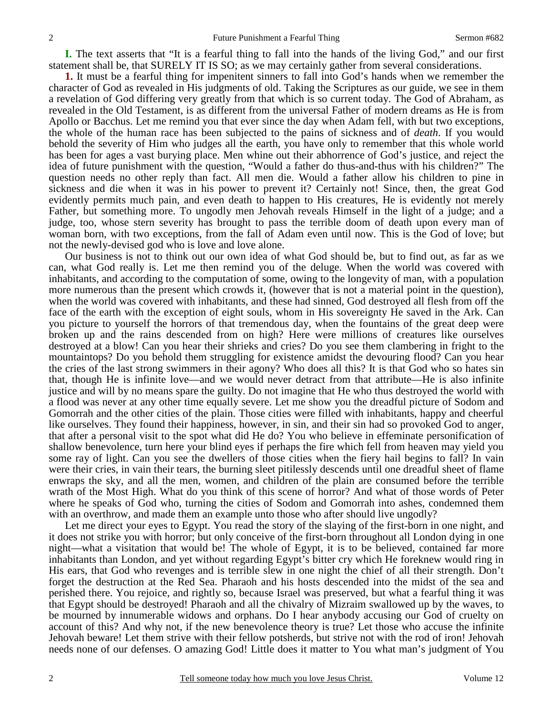**I.** The text asserts that "It is a fearful thing to fall into the hands of the living God," and our first statement shall be, that SURELY IT IS SO; as we may certainly gather from several considerations.

**1.** It must be a fearful thing for impenitent sinners to fall into God's hands when we remember the character of God as revealed in His judgments of old. Taking the Scriptures as our guide, we see in them a revelation of God differing very greatly from that which is so current today. The God of Abraham, as revealed in the Old Testament, is as different from the universal Father of modern dreams as He is from Apollo or Bacchus. Let me remind you that ever since the day when Adam fell, with but two exceptions, the whole of the human race has been subjected to the pains of sickness and of *death*. If you would behold the severity of Him who judges all the earth, you have only to remember that this whole world has been for ages a vast burying place. Men whine out their abhorrence of God's justice, and reject the idea of future punishment with the question, "Would a father do thus-and-thus with his children?" The question needs no other reply than fact. All men die. Would a father allow his children to pine in sickness and die when it was in his power to prevent it? Certainly not! Since, then, the great God evidently permits much pain, and even death to happen to His creatures, He is evidently not merely Father, but something more. To ungodly men Jehovah reveals Himself in the light of a judge; and a judge, too, whose stern severity has brought to pass the terrible doom of death upon every man of woman born, with two exceptions, from the fall of Adam even until now. This is the God of love; but not the newly-devised god who is love and love alone.

 Our business is not to think out our own idea of what God should be, but to find out, as far as we can, what God really is. Let me then remind you of the deluge. When the world was covered with inhabitants, and according to the computation of some, owing to the longevity of man, with a population more numerous than the present which crowds it, (however that is not a material point in the question), when the world was covered with inhabitants, and these had sinned, God destroyed all flesh from off the face of the earth with the exception of eight souls, whom in His sovereignty He saved in the Ark. Can you picture to yourself the horrors of that tremendous day, when the fountains of the great deep were broken up and the rains descended from on high? Here were millions of creatures like ourselves destroyed at a blow! Can you hear their shrieks and cries? Do you see them clambering in fright to the mountaintops? Do you behold them struggling for existence amidst the devouring flood? Can you hear the cries of the last strong swimmers in their agony? Who does all this? It is that God who so hates sin that, though He is infinite love—and we would never detract from that attribute—He is also infinite justice and will by no means spare the guilty. Do not imagine that He who thus destroyed the world with a flood was never at any other time equally severe. Let me show you the dreadful picture of Sodom and Gomorrah and the other cities of the plain. Those cities were filled with inhabitants, happy and cheerful like ourselves. They found their happiness, however, in sin, and their sin had so provoked God to anger, that after a personal visit to the spot what did He do? You who believe in effeminate personification of shallow benevolence, turn here your blind eyes if perhaps the fire which fell from heaven may yield you some ray of light. Can you see the dwellers of those cities when the fiery hail begins to fall? In vain were their cries, in vain their tears, the burning sleet pitilessly descends until one dreadful sheet of flame enwraps the sky, and all the men, women, and children of the plain are consumed before the terrible wrath of the Most High. What do you think of this scene of horror? And what of those words of Peter where he speaks of God who, turning the cities of Sodom and Gomorrah into ashes, condemned them with an overthrow, and made them an example unto those who after should live ungodly?

 Let me direct your eyes to Egypt. You read the story of the slaying of the first-born in one night, and it does not strike you with horror; but only conceive of the first-born throughout all London dying in one night—what a visitation that would be! The whole of Egypt, it is to be believed, contained far more inhabitants than London, and yet without regarding Egypt's bitter cry which He foreknew would ring in His ears, that God who revenges and is terrible slew in one night the chief of all their strength. Don't forget the destruction at the Red Sea. Pharaoh and his hosts descended into the midst of the sea and perished there. You rejoice, and rightly so, because Israel was preserved, but what a fearful thing it was that Egypt should be destroyed! Pharaoh and all the chivalry of Mizraim swallowed up by the waves, to be mourned by innumerable widows and orphans. Do I hear anybody accusing our God of cruelty on account of this? And why not, if the new benevolence theory is true? Let those who accuse the infinite Jehovah beware! Let them strive with their fellow potsherds, but strive not with the rod of iron! Jehovah needs none of our defenses. O amazing God! Little does it matter to You what man's judgment of You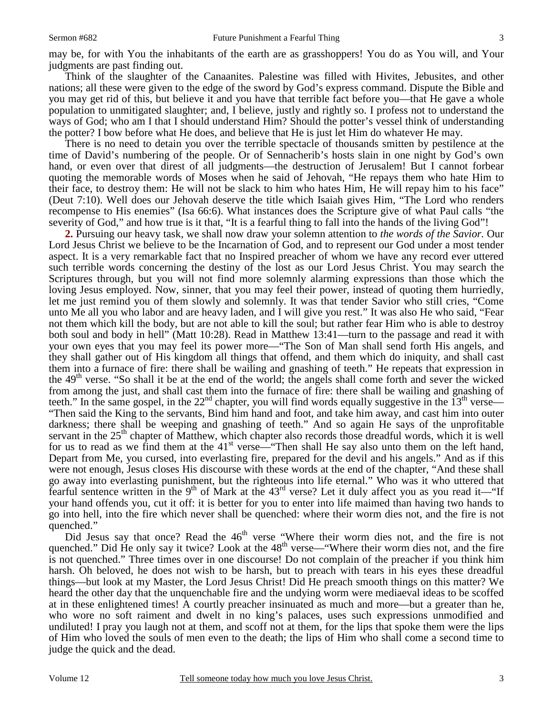may be, for with You the inhabitants of the earth are as grasshoppers! You do as You will, and Your judgments are past finding out.

 Think of the slaughter of the Canaanites. Palestine was filled with Hivites, Jebusites, and other nations; all these were given to the edge of the sword by God's express command. Dispute the Bible and you may get rid of this, but believe it and you have that terrible fact before you—that He gave a whole population to unmitigated slaughter; and, I believe, justly and rightly so. I profess not to understand the ways of God; who am I that I should understand Him? Should the potter's vessel think of understanding the potter? I bow before what He does, and believe that He is just let Him do whatever He may.

 There is no need to detain you over the terrible spectacle of thousands smitten by pestilence at the time of David's numbering of the people. Or of Sennacherib's hosts slain in one night by God's own hand, or even over that direst of all judgments—the destruction of Jerusalem! But I cannot forbear quoting the memorable words of Moses when he said of Jehovah, "He repays them who hate Him to their face, to destroy them: He will not be slack to him who hates Him, He will repay him to his face" (Deut 7:10). Well does our Jehovah deserve the title which Isaiah gives Him, "The Lord who renders recompense to His enemies" (Isa 66:6). What instances does the Scripture give of what Paul calls "the severity of God," and how true is it that, "It is a fearful thing to fall into the hands of the living God"!

**2.** Pursuing our heavy task, we shall now draw your solemn attention to *the words of the Savior.* Our Lord Jesus Christ we believe to be the Incarnation of God, and to represent our God under a most tender aspect. It is a very remarkable fact that no Inspired preacher of whom we have any record ever uttered such terrible words concerning the destiny of the lost as our Lord Jesus Christ. You may search the Scriptures through, but you will not find more solemnly alarming expressions than those which the loving Jesus employed. Now, sinner, that you may feel their power, instead of quoting them hurriedly, let me just remind you of them slowly and solemnly. It was that tender Savior who still cries, "Come unto Me all you who labor and are heavy laden, and I will give you rest." It was also He who said, "Fear not them which kill the body, but are not able to kill the soul; but rather fear Him who is able to destroy both soul and body in hell" (Matt 10:28). Read in Matthew 13:41—turn to the passage and read it with your own eyes that you may feel its power more—"The Son of Man shall send forth His angels, and they shall gather out of His kingdom all things that offend, and them which do iniquity, and shall cast them into a furnace of fire: there shall be wailing and gnashing of teeth." He repeats that expression in the 49th verse. "So shall it be at the end of the world; the angels shall come forth and sever the wicked from among the just, and shall cast them into the furnace of fire: there shall be wailing and gnashing of teeth." In the same gospel, in the  $22<sup>nd</sup>$  chapter, you will find words equally suggestive in the  $13<sup>th</sup>$  verse— "Then said the King to the servants, Bind him hand and foot, and take him away, and cast him into outer darkness; there shall be weeping and gnashing of teeth." And so again He says of the unprofitable servant in the 25<sup>th</sup> chapter of Matthew, which chapter also records those dreadful words, which it is well for us to read as we find them at the  $41<sup>st</sup>$  verse—"Then shall He say also unto them on the left hand, Depart from Me, you cursed, into everlasting fire, prepared for the devil and his angels." And as if this were not enough, Jesus closes His discourse with these words at the end of the chapter, "And these shall go away into everlasting punishment, but the righteous into life eternal." Who was it who uttered that fearful sentence written in the 9<sup>th</sup> of Mark at the  $43<sup>rd</sup>$  verse? Let it duly affect you as you read it—"If your hand offends you, cut it off: it is better for you to enter into life maimed than having two hands to go into hell, into the fire which never shall be quenched: where their worm dies not, and the fire is not quenched."

Did Jesus say that once? Read the 46<sup>th</sup> verse "Where their worm dies not, and the fire is not quenched." Did He only say it twice? Look at the  $48<sup>th</sup>$  verse—"Where their worm dies not, and the fire is not quenched." Three times over in one discourse! Do not complain of the preacher if you think him harsh. Oh beloved, he does not wish to be harsh, but to preach with tears in his eyes these dreadful things—but look at my Master, the Lord Jesus Christ! Did He preach smooth things on this matter? We heard the other day that the unquenchable fire and the undying worm were mediaeval ideas to be scoffed at in these enlightened times! A courtly preacher insinuated as much and more—but a greater than he, who wore no soft raiment and dwelt in no king's palaces, uses such expressions unmodified and undiluted! I pray you laugh not at them, and scoff not at them, for the lips that spoke them were the lips of Him who loved the souls of men even to the death; the lips of Him who shall come a second time to judge the quick and the dead.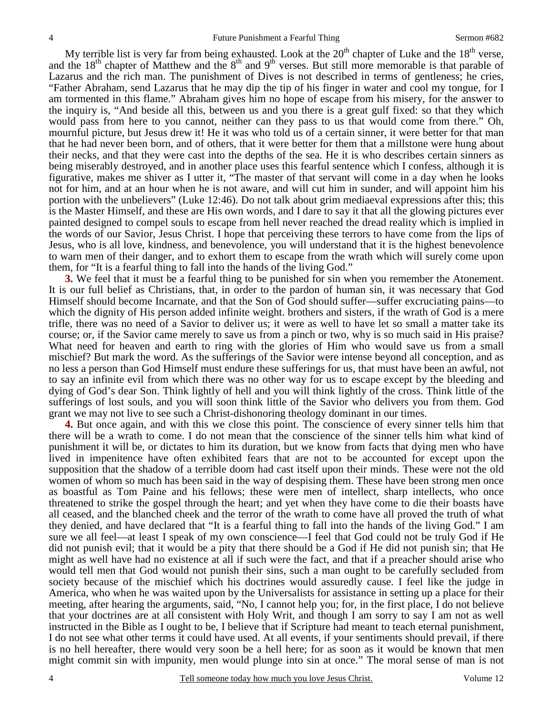My terrible list is very far from being exhausted. Look at the  $20<sup>th</sup>$  chapter of Luke and the  $18<sup>th</sup>$  verse, and the 18<sup>th</sup> chapter of Matthew and the  $8<sup>th</sup>$  and  $9<sup>th</sup>$  verses. But still more memorable is that parable of Lazarus and the rich man. The punishment of Dives is not described in terms of gentleness; he cries, "Father Abraham, send Lazarus that he may dip the tip of his finger in water and cool my tongue, for I am tormented in this flame." Abraham gives him no hope of escape from his misery, for the answer to the inquiry is, "And beside all this, between us and you there is a great gulf fixed: so that they which would pass from here to you cannot, neither can they pass to us that would come from there." Oh, mournful picture, but Jesus drew it! He it was who told us of a certain sinner, it were better for that man that he had never been born, and of others, that it were better for them that a millstone were hung about their necks, and that they were cast into the depths of the sea. He it is who describes certain sinners as being miserably destroyed, and in another place uses this fearful sentence which I confess, although it is figurative, makes me shiver as I utter it, "The master of that servant will come in a day when he looks not for him, and at an hour when he is not aware, and will cut him in sunder, and will appoint him his portion with the unbelievers" (Luke 12:46). Do not talk about grim mediaeval expressions after this; this is the Master Himself, and these are His own words, and I dare to say it that all the glowing pictures ever painted designed to compel souls to escape from hell never reached the dread reality which is implied in the words of our Savior, Jesus Christ. I hope that perceiving these terrors to have come from the lips of Jesus, who is all love, kindness, and benevolence, you will understand that it is the highest benevolence to warn men of their danger, and to exhort them to escape from the wrath which will surely come upon them, for "It is a fearful thing to fall into the hands of the living God."

**3.** We feel that it must be a fearful thing to be punished for sin when you remember the Atonement. It is our full belief as Christians, that, in order to the pardon of human sin, it was necessary that God Himself should become Incarnate, and that the Son of God should suffer—suffer excruciating pains—to which the dignity of His person added infinite weight. brothers and sisters, if the wrath of God is a mere trifle, there was no need of a Savior to deliver us; it were as well to have let so small a matter take its course; or, if the Savior came merely to save us from a pinch or two, why is so much said in His praise? What need for heaven and earth to ring with the glories of Him who would save us from a small mischief? But mark the word. As the sufferings of the Savior were intense beyond all conception, and as no less a person than God Himself must endure these sufferings for us, that must have been an awful, not to say an infinite evil from which there was no other way for us to escape except by the bleeding and dying of God's dear Son. Think lightly of hell and you will think lightly of the cross. Think little of the sufferings of lost souls, and you will soon think little of the Savior who delivers you from them. God grant we may not live to see such a Christ-dishonoring theology dominant in our times.

**4.** But once again, and with this we close this point. The conscience of every sinner tells him that there will be a wrath to come. I do not mean that the conscience of the sinner tells him what kind of punishment it will be, or dictates to him its duration, but we know from facts that dying men who have lived in impenitence have often exhibited fears that are not to be accounted for except upon the supposition that the shadow of a terrible doom had cast itself upon their minds. These were not the old women of whom so much has been said in the way of despising them. These have been strong men once as boastful as Tom Paine and his fellows; these were men of intellect, sharp intellects, who once threatened to strike the gospel through the heart; and yet when they have come to die their boasts have all ceased, and the blanched cheek and the terror of the wrath to come have all proved the truth of what they denied, and have declared that "It is a fearful thing to fall into the hands of the living God." I am sure we all feel—at least I speak of my own conscience—I feel that God could not be truly God if He did not punish evil; that it would be a pity that there should be a God if He did not punish sin; that He might as well have had no existence at all if such were the fact, and that if a preacher should arise who would tell men that God would not punish their sins, such a man ought to be carefully secluded from society because of the mischief which his doctrines would assuredly cause. I feel like the judge in America, who when he was waited upon by the Universalists for assistance in setting up a place for their meeting, after hearing the arguments, said, "No, I cannot help you; for, in the first place, I do not believe that your doctrines are at all consistent with Holy Writ, and though I am sorry to say I am not as well instructed in the Bible as I ought to be, I believe that if Scripture had meant to teach eternal punishment, I do not see what other terms it could have used. At all events, if your sentiments should prevail, if there is no hell hereafter, there would very soon be a hell here; for as soon as it would be known that men might commit sin with impunity, men would plunge into sin at once." The moral sense of man is not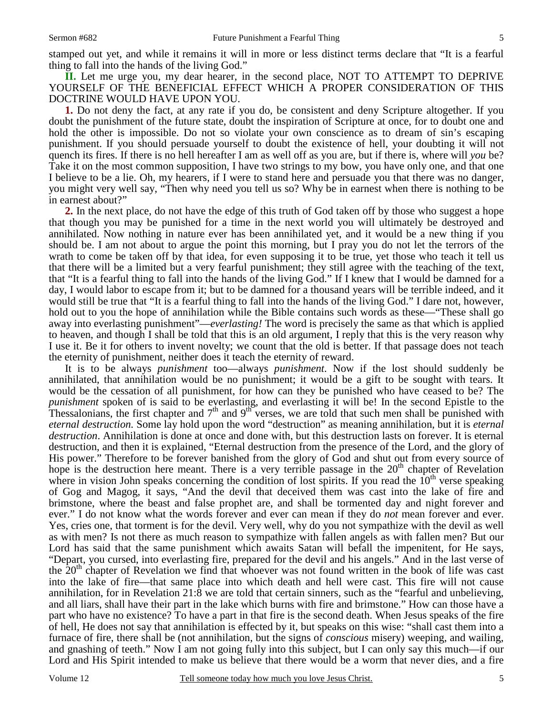**II.** Let me urge you, my dear hearer, in the second place, NOT TO ATTEMPT TO DEPRIVE YOURSELF OF THE BENEFICIAL EFFECT WHICH A PROPER CONSIDERATION OF THIS DOCTRINE WOULD HAVE UPON YOU.

**1.** Do not deny the fact, at any rate if you do, be consistent and deny Scripture altogether. If you doubt the punishment of the future state, doubt the inspiration of Scripture at once, for to doubt one and hold the other is impossible. Do not so violate your own conscience as to dream of sin's escaping punishment. If you should persuade yourself to doubt the existence of hell, your doubting it will not quench its fires. If there is no hell hereafter I am as well off as you are, but if there is, where will *you* be? Take it on the most common supposition, I have two strings to my bow, you have only one, and that one I believe to be a lie. Oh, my hearers, if I were to stand here and persuade you that there was no danger, you might very well say, "Then why need you tell us so? Why be in earnest when there is nothing to be in earnest about?"

**2.** In the next place, do not have the edge of this truth of God taken off by those who suggest a hope that though you may be punished for a time in the next world you will ultimately be destroyed and annihilated. Now nothing in nature ever has been annihilated yet, and it would be a new thing if you should be. I am not about to argue the point this morning, but I pray you do not let the terrors of the wrath to come be taken off by that idea, for even supposing it to be true, yet those who teach it tell us that there will be a limited but a very fearful punishment; they still agree with the teaching of the text, that "It is a fearful thing to fall into the hands of the living God." If I knew that I would be damned for a day, I would labor to escape from it; but to be damned for a thousand years will be terrible indeed, and it would still be true that "It is a fearful thing to fall into the hands of the living God." I dare not, however, hold out to you the hope of annihilation while the Bible contains such words as these—"These shall go away into everlasting punishment"—*everlasting!* The word is precisely the same as that which is applied to heaven, and though I shall be told that this is an old argument, I reply that this is the very reason why I use it. Be it for others to invent novelty; we count that the old is better. If that passage does not teach the eternity of punishment, neither does it teach the eternity of reward.

 It is to be always *punishment* too—always *punishment*. Now if the lost should suddenly be annihilated, that annihilation would be no punishment; it would be a gift to be sought with tears. It would be the cessation of all punishment, for how can they be punished who have ceased to be? The *punishment* spoken of is said to be everlasting, and everlasting it will be! In the second Epistle to the Thessalonians, the first chapter and  $7<sup>th</sup>$  and  $9<sup>th</sup>$  verses, we are told that such men shall be punished with *eternal destruction.* Some lay hold upon the word "destruction" as meaning annihilation, but it is *eternal destruction*. Annihilation is done at once and done with, but this destruction lasts on forever. It is eternal destruction, and then it is explained, "Eternal destruction from the presence of the Lord, and the glory of His power." Therefore to be forever banished from the glory of God and shut out from every source of hope is the destruction here meant. There is a very terrible passage in the  $20<sup>th</sup>$  chapter of Revelation where in vision John speaks concerning the condition of lost spirits. If you read the  $10<sup>th</sup>$  verse speaking of Gog and Magog, it says, "And the devil that deceived them was cast into the lake of fire and brimstone, where the beast and false prophet are, and shall be tormented day and night forever and ever." I do not know what the words forever and ever can mean if they do *not* mean forever and ever. Yes, cries one, that torment is for the devil. Very well, why do you not sympathize with the devil as well as with men? Is not there as much reason to sympathize with fallen angels as with fallen men? But our Lord has said that the same punishment which awaits Satan will befall the impenitent, for He says, "Depart, you cursed, into everlasting fire, prepared for the devil and his angels." And in the last verse of the  $20<sup>th</sup>$  chapter of Revelation we find that whoever was not found written in the book of life was cast into the lake of fire—that same place into which death and hell were cast. This fire will not cause annihilation, for in Revelation 21:8 we are told that certain sinners, such as the "fearful and unbelieving, and all liars, shall have their part in the lake which burns with fire and brimstone." How can those have a part who have no existence? To have a part in that fire is the second death. When Jesus speaks of the fire of hell, He does not say that annihilation is effected by it, but speaks on this wise: "shall cast them into a furnace of fire, there shall be (not annihilation, but the signs of *conscious* misery) weeping, and wailing, and gnashing of teeth." Now I am not going fully into this subject, but I can only say this much—if our Lord and His Spirit intended to make us believe that there would be a worm that never dies, and a fire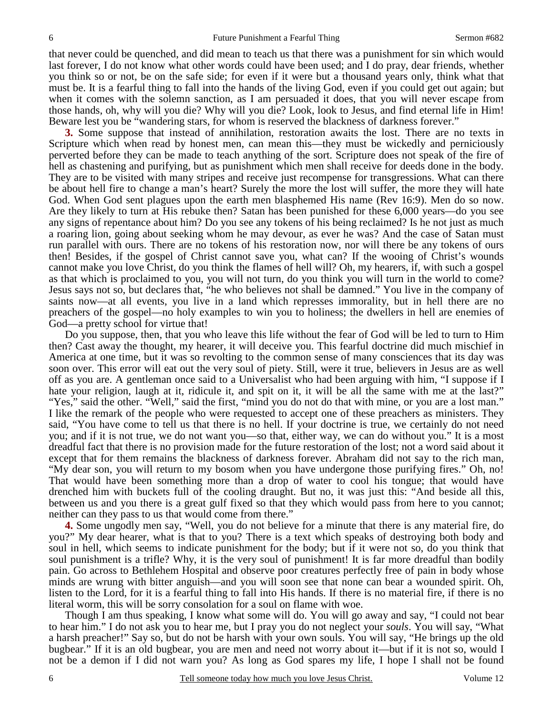that never could be quenched, and did mean to teach us that there was a punishment for sin which would last forever, I do not know what other words could have been used; and I do pray, dear friends, whether you think so or not, be on the safe side; for even if it were but a thousand years only, think what that must be. It is a fearful thing to fall into the hands of the living God, even if you could get out again; but when it comes with the solemn sanction, as I am persuaded it does, that you will never escape from those hands, oh, why will you die? Why will you die? Look, look to Jesus, and find eternal life in Him! Beware lest you be "wandering stars, for whom is reserved the blackness of darkness forever."

**3.** Some suppose that instead of annihilation, restoration awaits the lost. There are no texts in Scripture which when read by honest men, can mean this—they must be wickedly and perniciously perverted before they can be made to teach anything of the sort. Scripture does not speak of the fire of hell as chastening and purifying, but as punishment which men shall receive for deeds done in the body. They are to be visited with many stripes and receive just recompense for transgressions. What can there be about hell fire to change a man's heart? Surely the more the lost will suffer, the more they will hate God. When God sent plagues upon the earth men blasphemed His name (Rev 16:9). Men do so now. Are they likely to turn at His rebuke then? Satan has been punished for these 6,000 years—do you see any signs of repentance about him? Do you see any tokens of his being reclaimed? Is he not just as much a roaring lion, going about seeking whom he may devour, as ever he was? And the case of Satan must run parallel with ours. There are no tokens of his restoration now, nor will there be any tokens of ours then! Besides, if the gospel of Christ cannot save you, what can? If the wooing of Christ's wounds cannot make you love Christ, do you think the flames of hell will? Oh, my hearers, if, with such a gospel as that which is proclaimed to you, you will not turn, do you think you will turn in the world to come? Jesus says not so, but declares that, "he who believes not shall be damned." You live in the company of saints now—at all events, you live in a land which represses immorality, but in hell there are no preachers of the gospel—no holy examples to win you to holiness; the dwellers in hell are enemies of God—a pretty school for virtue that!

 Do you suppose, then, that you who leave this life without the fear of God will be led to turn to Him then? Cast away the thought, my hearer, it will deceive you. This fearful doctrine did much mischief in America at one time, but it was so revolting to the common sense of many consciences that its day was soon over. This error will eat out the very soul of piety. Still, were it true, believers in Jesus are as well off as you are. A gentleman once said to a Universalist who had been arguing with him, "I suppose if I hate your religion, laugh at it, ridicule it, and spit on it, it will be all the same with me at the last?" "Yes," said the other. "Well," said the first, "mind you do not do that with mine, or you are a lost man." I like the remark of the people who were requested to accept one of these preachers as ministers. They said, "You have come to tell us that there is no hell. If your doctrine is true, we certainly do not need you; and if it is not true, we do not want you—so that, either way, we can do without you." It is a most dreadful fact that there is no provision made for the future restoration of the lost; not a word said about it except that for them remains the blackness of darkness forever. Abraham did not say to the rich man, "My dear son, you will return to my bosom when you have undergone those purifying fires." Oh, no! That would have been something more than a drop of water to cool his tongue; that would have drenched him with buckets full of the cooling draught. But no, it was just this: "And beside all this, between us and you there is a great gulf fixed so that they which would pass from here to you cannot; neither can they pass to us that would come from there."

**4.** Some ungodly men say, "Well, you do not believe for a minute that there is any material fire, do you?" My dear hearer, what is that to you? There is a text which speaks of destroying both body and soul in hell, which seems to indicate punishment for the body; but if it were not so, do you think that soul punishment is a trifle? Why, it is the very soul of punishment! It is far more dreadful than bodily pain. Go across to Bethlehem Hospital and observe poor creatures perfectly free of pain in body whose minds are wrung with bitter anguish—and you will soon see that none can bear a wounded spirit. Oh, listen to the Lord, for it is a fearful thing to fall into His hands. If there is no material fire, if there is no literal worm, this will be sorry consolation for a soul on flame with woe.

 Though I am thus speaking, I know what some will do. You will go away and say, "I could not bear to hear him." I do not ask you to hear me, but I pray you do not neglect your *souls*. You will say, "What a harsh preacher!" Say so, but do not be harsh with your own souls. You will say, "He brings up the old bugbear." If it is an old bugbear, you are men and need not worry about it—but if it is not so, would I not be a demon if I did not warn you? As long as God spares my life, I hope I shall not be found

6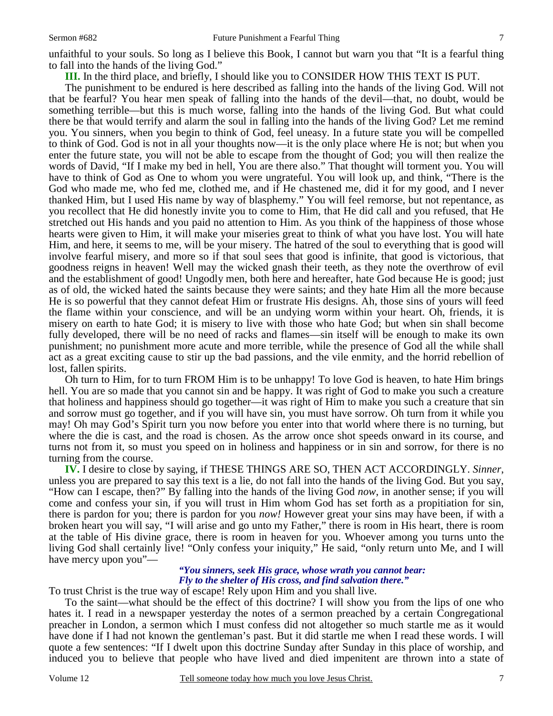**III.** In the third place, and briefly, I should like you to CONSIDER HOW THIS TEXT IS PUT.

 The punishment to be endured is here described as falling into the hands of the living God. Will not that be fearful? You hear men speak of falling into the hands of the devil—that, no doubt, would be something terrible—but this is much worse, falling into the hands of the living God. But what could there be that would terrify and alarm the soul in falling into the hands of the living God? Let me remind you. You sinners, when you begin to think of God, feel uneasy. In a future state you will be compelled to think of God. God is not in all your thoughts now—it is the only place where He is not; but when you enter the future state, you will not be able to escape from the thought of God; you will then realize the words of David, "If I make my bed in hell, You are there also." That thought will torment you. You will have to think of God as One to whom you were ungrateful. You will look up, and think, "There is the God who made me, who fed me, clothed me, and if He chastened me, did it for my good, and I never thanked Him, but I used His name by way of blasphemy." You will feel remorse, but not repentance, as you recollect that He did honestly invite you to come to Him, that He did call and you refused, that He stretched out His hands and you paid no attention to Him. As you think of the happiness of those whose hearts were given to Him, it will make your miseries great to think of what you have lost. You will hate Him, and here, it seems to me, will be your misery. The hatred of the soul to everything that is good will involve fearful misery, and more so if that soul sees that good is infinite, that good is victorious, that goodness reigns in heaven! Well may the wicked gnash their teeth, as they note the overthrow of evil and the establishment of good! Ungodly men, both here and hereafter, hate God because He is good; just as of old, the wicked hated the saints because they were saints; and they hate Him all the more because He is so powerful that they cannot defeat Him or frustrate His designs. Ah, those sins of yours will feed the flame within your conscience, and will be an undying worm within your heart. Oh, friends, it is misery on earth to hate God; it is misery to live with those who hate God; but when sin shall become fully developed, there will be no need of racks and flames—sin itself will be enough to make its own punishment; no punishment more acute and more terrible, while the presence of God all the while shall act as a great exciting cause to stir up the bad passions, and the vile enmity, and the horrid rebellion of lost, fallen spirits.

 Oh turn to Him, for to turn FROM Him is to be unhappy! To love God is heaven, to hate Him brings hell. You are so made that you cannot sin and be happy. It was right of God to make you such a creature that holiness and happiness should go together—it was right of Him to make you such a creature that sin and sorrow must go together, and if you will have sin, you must have sorrow. Oh turn from it while you may! Oh may God's Spirit turn you now before you enter into that world where there is no turning, but where the die is cast, and the road is chosen. As the arrow once shot speeds onward in its course, and turns not from it, so must you speed on in holiness and happiness or in sin and sorrow, for there is no turning from the course.

**IV.** I desire to close by saying, if THESE THINGS ARE SO, THEN ACT ACCORDINGLY. *Sinner*, unless you are prepared to say this text is a lie, do not fall into the hands of the living God. But you say, "How can I escape, then?" By falling into the hands of the living God *now*, in another sense; if you will come and confess your sin, if you will trust in Him whom God has set forth as a propitiation for sin, there is pardon for you; there is pardon for you *now!* However great your sins may have been, if with a broken heart you will say, "I will arise and go unto my Father," there is room in His heart, there is room at the table of His divine grace, there is room in heaven for you. Whoever among you turns unto the living God shall certainly live! "Only confess your iniquity," He said, "only return unto Me, and I will have mercy upon you"—

# *"You sinners, seek His grace, whose wrath you cannot bear: Fly to the shelter of His cross, and find salvation there."*

To trust Christ is the true way of escape! Rely upon Him and you shall live.

 To the saint—what should be the effect of this doctrine? I will show you from the lips of one who hates it. I read in a newspaper yesterday the notes of a sermon preached by a certain Congregational preacher in London, a sermon which I must confess did not altogether so much startle me as it would have done if I had not known the gentleman's past. But it did startle me when I read these words. I will quote a few sentences: "If I dwelt upon this doctrine Sunday after Sunday in this place of worship, and induced you to believe that people who have lived and died impenitent are thrown into a state of